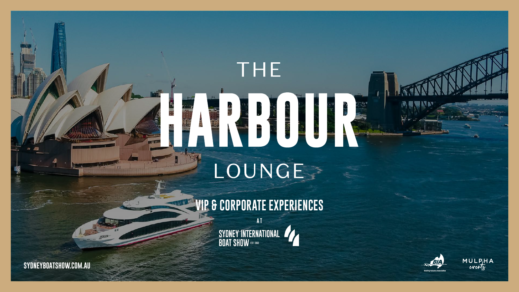### **VIP & CORPORATE EXPERIENCES A T**







**[SYDNEYBOATSHOW.COM.AU](https://www.sydneyboatshow.com.au/)**

# LOUNGE

THE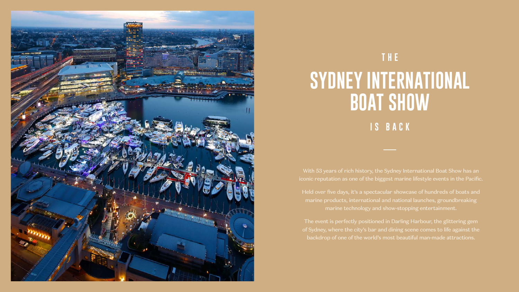With 53 years of rich history, the Sydney International Boat Show has an iconic reputation as one of the biggest marine lifestyle events in the Pacific.

Held over five days, it's a spectacular showcase of hundreds of boats and marine products, international and national launches, groundbreaking marine technology and show-stopping entertainment.

The event is perfectly positioned in Darling Harbour, the glittering gem of Sydney, where the city's bar and dining scene comes to life against the backdrop of one of the world's most beautiful man-made attractions.



### **THE SYDNEY INTERNATIONAL BOAT SHOW IS BACK**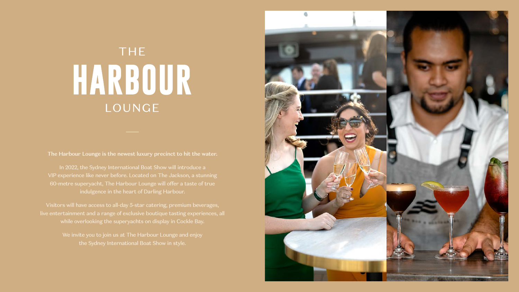### **THE** HARBOUR LOUNGE

The Harbour Lounge is the newest luxury precinct to hit the water.

In 2022, the Sydney International Boat Show will introduce a VIP experience like never before. Located on The Jackson, a stunning 60-metre superyacht, The Harbour Lounge will offer a taste of true indulgence in the heart of Darling Harbour.

We invite you to join us at The Harbour Lounge and enjoy the Sydney International Boat Show in style.



Visitors will have access to all-day 5-star catering, premium beverages, live entertainment and a range of exclusive boutique tasting experiences, all while overlooking the superyachts on display in Cockle Bay.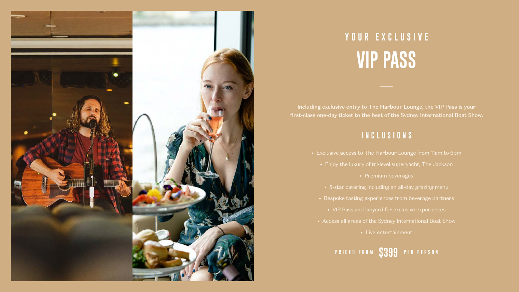Including exclusive entry to The Harbour Lounge, the VIP Pass is your first-class one-day ticket to the best of the Sydney International Boat Show.

#### **INCLUSIONS**

#### **PRICED FROM \$399 PER PERSON**

- Exclusive access to The Harbour Lounge from 11am to 6pm
	- Enjoy the luxury of tri-level superyacht, The Jackson
		- Premium beverages
	- 5-star catering including an all-day grazing menu
	- Bespoke tasting experiences from beverage partners
		- VIP Pass and lanyard for exclusive experiences
	- Access all areas of the Sydney International Boat Show
		- Live entertainment



### **YOUR EXCLUSIVE VIP PASS**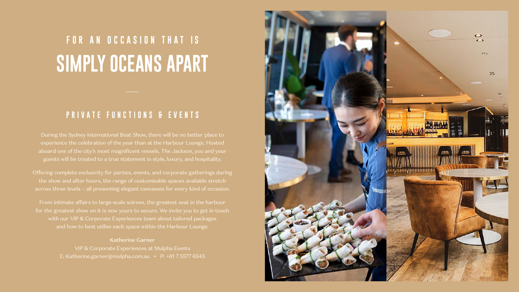During the Sydney International Boat Show, there will be no better place to experience the celebration of the year than at the Harbour Lounge. Hosted aboard one of the city's most magnificent vessels, The Jackson, you and your guests will be treated to a true statement in style, luxury, and hospitality.

Offering complete exclusivity for parties, events, and corporate gatherings during the show and after hours, the range of customisable spaces available stretch across three levels – all presenting elegant canvasses for every kind of occasion.

From intimate affairs to large-scale soirees, the greatest seat in the harbour for the greatest show on it is now yours to secure. We invite you to get in touch with our VIP & Corporate Experiences team about tailored packages and how to best utilise each space within the Harbour Lounge.

Katherine Garner

VIP & Corporate Experiences at Mulpha Events E: Katherine.garner@mulpha.com.au • P: +61 7 5577 6545



### **FOR AN OCCASION THAT IS SIMPLY OCEANS APART**

#### **PRIVATE FUNCTIONS & EVENTS**